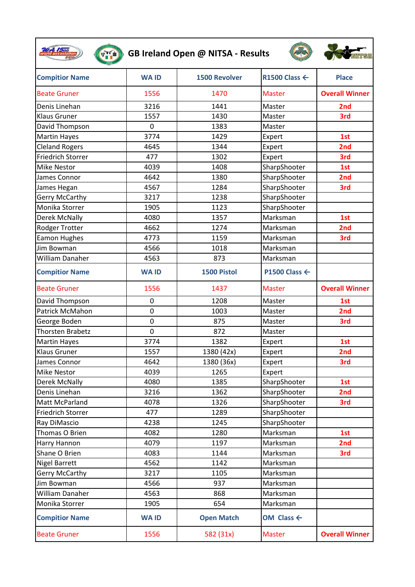|                          |                | GB Ireland Open @ NITSA - Results |                          |                       |
|--------------------------|----------------|-----------------------------------|--------------------------|-----------------------|
| <b>Compitior Name</b>    | <b>WAID</b>    | <b>1500 Revolver</b>              | R1500 Class $\leftarrow$ | <b>Place</b>          |
| <b>Beate Gruner</b>      | 1556           | 1470                              | <b>Master</b>            | <b>Overall Winner</b> |
| Denis Linehan            | 3216           | 1441                              | Master                   | 2nd                   |
| <b>Klaus Gruner</b>      | 1557           | 1430                              | Master                   | 3rd                   |
| David Thompson           | $\overline{0}$ | 1383                              | Master                   |                       |
| <b>Martin Hayes</b>      | 3774           | 1429                              | Expert                   | 1st                   |
| <b>Cleland Rogers</b>    | 4645           | 1344                              | Expert                   | 2nd                   |
| <b>Friedrich Storrer</b> | 477            | 1302                              | Expert                   | 3rd                   |
| <b>Mike Nestor</b>       | 4039           | 1408                              | SharpShooter             | 1st                   |
| James Connor             | 4642           | 1380                              | SharpShooter             | 2nd                   |
| James Hegan              | 4567           | 1284                              | SharpShooter             | 3rd                   |
| Gerry McCarthy           | 3217           | 1238                              | SharpShooter             |                       |
| Monika Storrer           | 1905           | 1123                              | SharpShooter             |                       |
| <b>Derek McNally</b>     | 4080           | 1357                              | Marksman                 | 1st                   |
| Rodger Trotter           | 4662           | 1274                              | Marksman                 | 2 <sub>nd</sub>       |
| <b>Eamon Hughes</b>      | 4773           | 1159                              | Marksman                 | 3rd                   |
| Jim Bowman               | 4566           | 1018                              | Marksman                 |                       |
| <b>William Danaher</b>   | 4563           | 873                               | Marksman                 |                       |
| <b>Compitior Name</b>    | <b>WAID</b>    | 1500 Pistol                       | P1500 Class $\leftarrow$ |                       |
| <b>Beate Gruner</b>      | 1556           | 1437                              | <b>Master</b>            | <b>Overall Winner</b> |
| David Thompson           | 0              | 1208                              | Master                   | 1st                   |
| Patrick McMahon          | $\overline{0}$ | 1003                              | Master                   | 2nd                   |
| George Boden             | $\mathbf 0$    | 875                               | Master                   | 3rd                   |
| <b>Thorsten Brabetz</b>  | $\overline{0}$ | 872                               | Master                   |                       |
| <b>Martin Hayes</b>      | 3774           | 1382                              | Expert                   | 1st                   |
| <b>Klaus Gruner</b>      | 1557           | 1380 (42x)                        | Expert                   | 2 <sub>nd</sub>       |
| James Connor             | 4642           | 1380 (36x)                        | Expert                   | 3rd                   |
| Mike Nestor              | 4039           | 1265                              | Expert                   |                       |
| <b>Derek McNally</b>     | 4080           | 1385                              | SharpShooter             | 1st                   |
| Denis Linehan            | 3216           | 1362                              | SharpShooter             | 2nd                   |
| Matt McParland           | 4078           | 1326                              | SharpShooter             | 3rd                   |
| <b>Friedrich Storrer</b> | 477            | 1289                              | SharpShooter             |                       |
| Ray DiMascio             | 4238           | 1245                              | SharpShooter             |                       |
| Thomas O Brien           | 4082           | 1280                              | Marksman                 | 1st                   |
| Harry Hannon             | 4079           | 1197                              | Marksman                 | 2nd                   |
| Shane O Brien            | 4083           | 1144                              | Marksman                 | 3rd                   |
| <b>Nigel Barrett</b>     | 4562           | 1142                              | Marksman                 |                       |
| Gerry McCarthy           | 3217           | 1105                              | Marksman                 |                       |
| Jim Bowman               | 4566           | 937                               | Marksman                 |                       |
| William Danaher          | 4563           | 868                               | Marksman                 |                       |
| Monika Storrer           | 1905           | 654                               | Marksman                 |                       |
| <b>Compitior Name</b>    | <b>WAID</b>    | <b>Open Match</b>                 | OM Class $\leftarrow$    |                       |
| <b>Beate Gruner</b>      | 1556           | 582 (31x)                         | <b>Master</b>            | <b>Overall Winner</b> |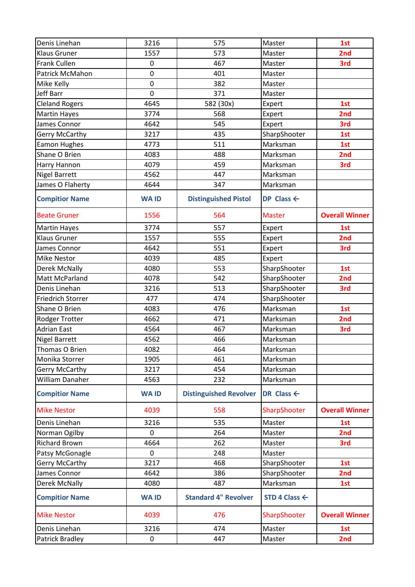| Denis Linehan            | 3216           | 575                           | Master                   | 1st                   |
|--------------------------|----------------|-------------------------------|--------------------------|-----------------------|
| <b>Klaus Gruner</b>      | 1557           | 573                           | Master                   | 2nd                   |
| Frank Cullen             | $\mathbf 0$    | 467                           | Master                   | 3rd                   |
| Patrick McMahon          | 0              | 401                           | Master                   |                       |
| Mike Kelly               | $\mathbf 0$    | 382                           | Master                   |                       |
| Jeff Barr                | $\overline{0}$ | 371                           | Master                   |                       |
| <b>Cleland Rogers</b>    | 4645           | 582 (30x)                     | Expert                   | 1st                   |
| <b>Martin Hayes</b>      | 3774           | 568                           | Expert                   | 2nd                   |
| James Connor             | 4642           | 545                           | Expert                   | 3rd                   |
| Gerry McCarthy           | 3217           | 435                           | SharpShooter             | 1st                   |
| <b>Eamon Hughes</b>      | 4773           | 511                           | Marksman                 | 1st                   |
| Shane O Brien            | 4083           | 488                           | Marksman                 | 2nd                   |
| Harry Hannon             | 4079           | 459                           | Marksman                 | 3rd                   |
| <b>Nigel Barrett</b>     | 4562           | 447                           | Marksman                 |                       |
| James O Flaherty         | 4644           | 347                           | Marksman                 |                       |
| <b>Compitior Name</b>    | <b>WAID</b>    | <b>Distinguished Pistol</b>   | DP Class $\leftarrow$    |                       |
| <b>Beate Gruner</b>      | 1556           | 564                           | <b>Master</b>            | <b>Overall Winner</b> |
| <b>Martin Hayes</b>      | 3774           | 557                           | Expert                   | 1st                   |
| <b>Klaus Gruner</b>      | 1557           | 555                           | Expert                   | 2nd                   |
| James Connor             | 4642           | 551                           | Expert                   | 3rd                   |
| <b>Mike Nestor</b>       | 4039           | 485                           | Expert                   |                       |
| <b>Derek McNally</b>     | 4080           | 553                           | SharpShooter             | 1st                   |
| Matt McParland           | 4078           | 542                           | SharpShooter             | 2nd                   |
| Denis Linehan            | 3216           | 513                           | SharpShooter             | 3rd                   |
| <b>Friedrich Storrer</b> | 477            | 474                           | SharpShooter             |                       |
| Shane O Brien            | 4083           | 476                           | Marksman                 | 1st                   |
| Rodger Trotter           | 4662           | 471                           | Marksman                 | 2nd                   |
| <b>Adrian East</b>       | 4564           | 467                           | Marksman                 | 3rd                   |
| <b>Nigel Barrett</b>     | 4562           | 466                           | Marksman                 |                       |
| Thomas O Brien           | 4082           | 464                           | Marksman                 |                       |
| Monika Storrer           | 1905           | 461                           | Marksman                 |                       |
| Gerry McCarthy           | 3217           | 454                           | Marksman                 |                       |
| <b>William Danaher</b>   | 4563           | 232                           | Marksman                 |                       |
| <b>Compitior Name</b>    | <b>WAID</b>    | <b>Distinguished Revolver</b> | DR Class $\leftarrow$    |                       |
| <b>Mike Nestor</b>       | 4039           | 558                           | SharpShooter             | <b>Overall Winner</b> |
| Denis Linehan            | 3216           | 535                           | Master                   | 1st                   |
| Norman Ogilby            | $\Omega$       | 264                           | Master                   | 2nd                   |
| <b>Richard Brown</b>     | 4664           | 262                           | Master                   | 3rd                   |
| Patsy McGonagle          | $\mathbf 0$    | 248                           | Master                   |                       |
| Gerry McCarthy           | 3217           | 468                           | SharpShooter             | 1st                   |
| James Connor             | 4642           | 386                           | SharpShooter             | 2nd                   |
| Derek McNally            | 4080           | 487                           | Marksman                 | 1st                   |
| <b>Compitior Name</b>    | <b>WAID</b>    | <b>Standard 4" Revolver</b>   | STD 4 Class $\leftarrow$ |                       |
| <b>Mike Nestor</b>       | 4039           | 476                           | SharpShooter             | <b>Overall Winner</b> |
| Denis Linehan            | 3216           | 474                           | Master                   | 1st                   |
| Patrick Bradley          | 0              | 447                           | Master                   | 2nd                   |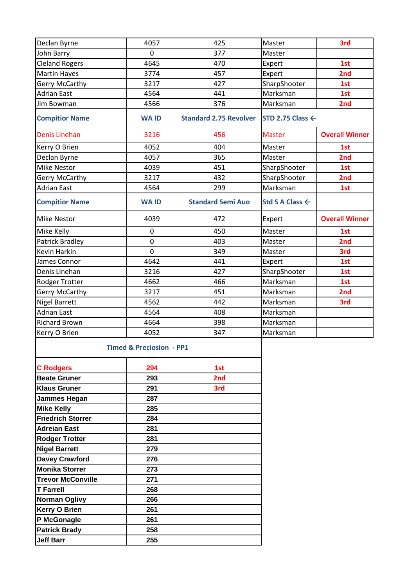| Declan Byrne                        | 4057           | 425                           | Master                      | 3rd                   |
|-------------------------------------|----------------|-------------------------------|-----------------------------|-----------------------|
| John Barry                          | $\mathbf 0$    | 377                           | Master                      |                       |
| <b>Cleland Rogers</b>               | 4645           | 470                           | Expert                      | 1st                   |
| <b>Martin Hayes</b>                 | 3774           | 457                           | Expert                      | 2nd                   |
| <b>Gerry McCarthy</b>               | 3217           | 427                           | SharpShooter                | 1st                   |
| <b>Adrian East</b>                  | 4564           | 441                           | Marksman                    | 1st                   |
| Jim Bowman                          | 4566           | 376                           | Marksman                    | 2nd                   |
| <b>Compitior Name</b>               | <b>WAID</b>    | <b>Standard 2.75 Revolver</b> | STD 2.75 Class $\leftarrow$ |                       |
| <b>Denis Linehan</b>                | 3216           | 456                           | <b>Master</b>               | <b>Overall Winner</b> |
| Kerry O Brien                       | 4052           | 404                           | Master                      | 1st                   |
| Declan Byrne                        | 4057           | 365                           | Master                      | 2nd                   |
| <b>Mike Nestor</b>                  | 4039           | 451                           | SharpShooter                | 1st                   |
| <b>Gerry McCarthy</b>               | 3217           | 432                           | SharpShooter                | 2nd                   |
| <b>Adrian East</b>                  | 4564           | 299                           | Marksman                    | 1st                   |
| <b>Compitior Name</b>               | <b>WAID</b>    | <b>Standard Semi Auo</b>      | Std S A Class ←             |                       |
| <b>Mike Nestor</b>                  | 4039           | 472                           | Expert                      | <b>Overall Winner</b> |
| Mike Kelly                          | 0              | 450                           | Master                      | 1st                   |
| <b>Patrick Bradley</b>              | $\mathbf 0$    | 403                           | Master                      | 2nd                   |
| Kevin Harkin                        | $\overline{0}$ | 349                           | Master                      | 3rd                   |
| James Connor                        | 4642           | 441                           | Expert                      | 1st                   |
| Denis Linehan                       | 3216           | 427                           | SharpShooter                | 1st                   |
| Rodger Trotter                      | 4662           | 466                           | Marksman                    | 1st                   |
| <b>Gerry McCarthy</b>               | 3217           | 451                           | Marksman                    | 2nd                   |
| <b>Nigel Barrett</b>                | 4562           | 442                           | Marksman                    | 3rd                   |
| <b>Adrian East</b>                  | 4564           | 408                           | Marksman                    |                       |
| <b>Richard Brown</b>                | 4664           | 398                           | Marksman                    |                       |
| Kerry O Brien                       | 4052           | 347                           | Marksman                    |                       |
| <b>Timed &amp; Preciosion - PP1</b> |                |                               |                             |                       |
| <b>C</b> Rodgers                    | 294            | 1st                           |                             |                       |
| <b>Beate Gruner</b>                 | 293            | 2nd                           |                             |                       |
| <b>Klaus Gruner</b>                 | 291            | 3rd                           |                             |                       |
| Jammes Hegan                        | 287            |                               |                             |                       |
| <b>Mike Kelly</b>                   | 285            |                               |                             |                       |
| <b>Friedrich Storrer</b>            | 284            |                               |                             |                       |
| <b>Adreian East</b>                 | 281            |                               |                             |                       |
| <b>Rodger Trotter</b>               | 281            |                               |                             |                       |
| <b>Nigel Barrett</b>                | 279            |                               |                             |                       |
| <b>Davey Crawford</b>               | 276            |                               |                             |                       |
| <b>Monika Storrer</b>               | 273            |                               |                             |                       |
| <b>Trevor McConville</b>            | 271            |                               |                             |                       |
| <b>T</b> Farrell                    | 268            |                               |                             |                       |
| <b>Norman Oglivy</b>                | 266            |                               |                             |                       |
| <b>Kerry O Brien</b>                | 261            |                               |                             |                       |
| P McGonagle                         | 261            |                               |                             |                       |
| <b>Patrick Brady</b>                | 258            |                               |                             |                       |
| <b>Jeff Barr</b>                    | 255            |                               |                             |                       |